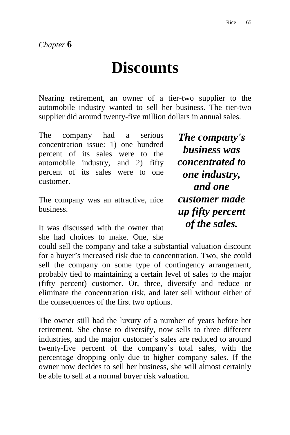## **Discounts**

Nearing retirement, an owner of a tier-two supplier to the automobile industry wanted to sell her business. The tier-two supplier did around twenty-five million dollars in annual sales.

The company had a serious concentration issue: 1) one hundred percent of its sales were to the automobile industry, and 2) fifty percent of its sales were to one customer.

The company was an attractive, nice business.

It was discussed with the owner that she had choices to make. One, she

could sell the company and take a substantial valuation discount for a buyer"s increased risk due to concentration. Two, she could sell the company on some type of contingency arrangement, probably tied to maintaining a certain level of sales to the major (fifty percent) customer. Or, three, diversify and reduce or eliminate the concentration risk, and later sell without either of the consequences of the first two options.

The owner still had the luxury of a number of years before her retirement. She chose to diversify, now sells to three different industries, and the major customer's sales are reduced to around twenty-five percent of the company"s total sales, with the percentage dropping only due to higher company sales. If the owner now decides to sell her business, she will almost certainly be able to sell at a normal buyer risk valuation.

*The company's business was concentrated to one industry, and one customer made up fifty percent of the sales.*